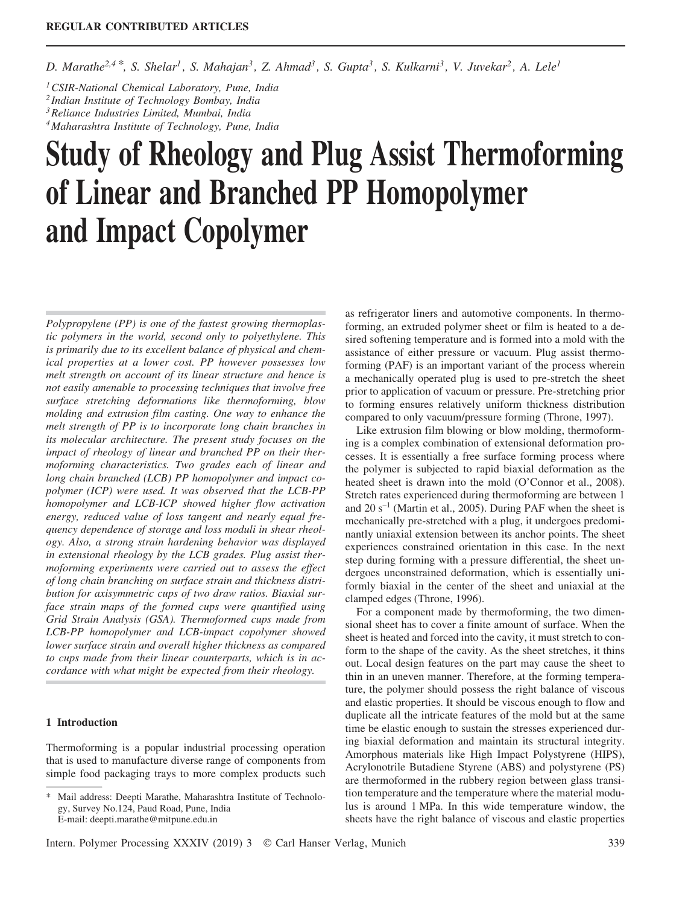*D. Marathe2,4 \*, S. Shelar<sup>1</sup> , S. Mahajan<sup>3</sup> , Z. Ahmad<sup>3</sup> , S. Gupta<sup>3</sup> , S. Kulkarni<sup>3</sup> , V. Juvekar<sup>2</sup> , A. Lele<sup>1</sup>*

*<sup>1</sup>CSIR-National Chemical Laboratory, Pune, India*

*2 Indian Institute of Technology Bombay, India*

*<sup>3</sup>Reliance Industries Limited, Mumbai, India*

*<sup>4</sup>Maharashtra Institute of Technology, Pune, India*

# Study of Rheology and Plug Assist Thermoforming of Linear and Branched PP Homopolymer and Impact Copolymer

*Polypropylene (PP) is one of the fastest growing thermoplastic polymers in the world, second only to polyethylene. This is primarily due to its excellent balance of physical and chemical properties at a lower cost. PP however possesses low melt strength on account of its linear structure and hence is not easily amenable to processing techniques that involve free surface stretching deformations like thermoforming, blow molding and extrusion film casting. One way to enhance the melt strength of PP is to incorporate long chain branches in its molecular architecture. The present study focuses on the impact of rheology of linear and branched PP on their thermoforming characteristics. Two grades each of linear and long chain branched (LCB) PP homopolymer and impact copolymer (ICP) were used. It was observed that the LCB-PP homopolymer and LCB-ICP showed higher flow activation energy, reduced value of loss tangent and nearly equal frequency dependence of storage and loss moduli in shear rheology. Also, a strong strain hardening behavior was displayed in extensional rheology by the LCB grades. Plug assist thermoforming experiments were carried out to assess the effect of long chain branching on surface strain and thickness distribution for axisymmetric cups of two draw ratios. Biaxial surface strain maps of the formed cups were quantified using Grid Strain Analysis (GSA). Thermoformed cups made from LCB-PP homopolymer and LCB-impact copolymer showed lower surface strain and overall higher thickness as compared to cups made from their linear counterparts, which is in accordance with what might be expected from their rheology.*

# 1 Introduction

Thermoforming is a popular industrial processing operation that is used to manufacture diverse range of components from simple food packaging trays to more complex products such as refrigerator liners and automotive components. In thermoforming, an extruded polymer sheet or film is heated to a desired softening temperature and is formed into a mold with the assistance of either pressure or vacuum. Plug assist thermoforming (PAF) is an important variant of the process wherein a mechanically operated plug is used to pre-stretch the sheet prior to application of vacuum or pressure. Pre-stretching prior to forming ensures relatively uniform thickness distribution compared to only vacuum/pressure forming (Throne, 1997).

Like extrusion film blowing or blow molding, thermoforming is a complex combination of extensional deformation processes. It is essentially a free surface forming process where the polymer is subjected to rapid biaxial deformation as the heated sheet is drawn into the mold (O'Connor et al., 2008). Stretch rates experienced during thermoforming are between 1 and  $20 s^{-1}$  (Martin et al., 2005). During PAF when the sheet is mechanically pre-stretched with a plug, it undergoes predominantly uniaxial extension between its anchor points. The sheet experiences constrained orientation in this case. In the next step during forming with a pressure differential, the sheet undergoes unconstrained deformation, which is essentially uniformly biaxial in the center of the sheet and uniaxial at the clamped edges (Throne, 1996).

For a component made by thermoforming, the two dimensional sheet has to cover a finite amount of surface. When the sheet is heated and forced into the cavity, it must stretch to conform to the shape of the cavity. As the sheet stretches, it thins out. Local design features on the part may cause the sheet to thin in an uneven manner. Therefore, at the forming temperature, the polymer should possess the right balance of viscous and elastic properties. It should be viscous enough to flow and duplicate all the intricate features of the mold but at the same time be elastic enough to sustain the stresses experienced during biaxial deformation and maintain its structural integrity. Amorphous materials like High Impact Polystyrene (HIPS), Acrylonotrile Butadiene Styrene (ABS) and polystyrene (PS) are thermoformed in the rubbery region between glass transition temperature and the temperature where the material modulus is around 1 MPa. In this wide temperature window, the sheets have the right balance of viscous and elastic properties

Mail address: Deepti Marathe, Maharashtra Institute of Technology, Survey No.124, Paud Road, Pune, India E-mail: deepti.marathe@mitpune.edu.in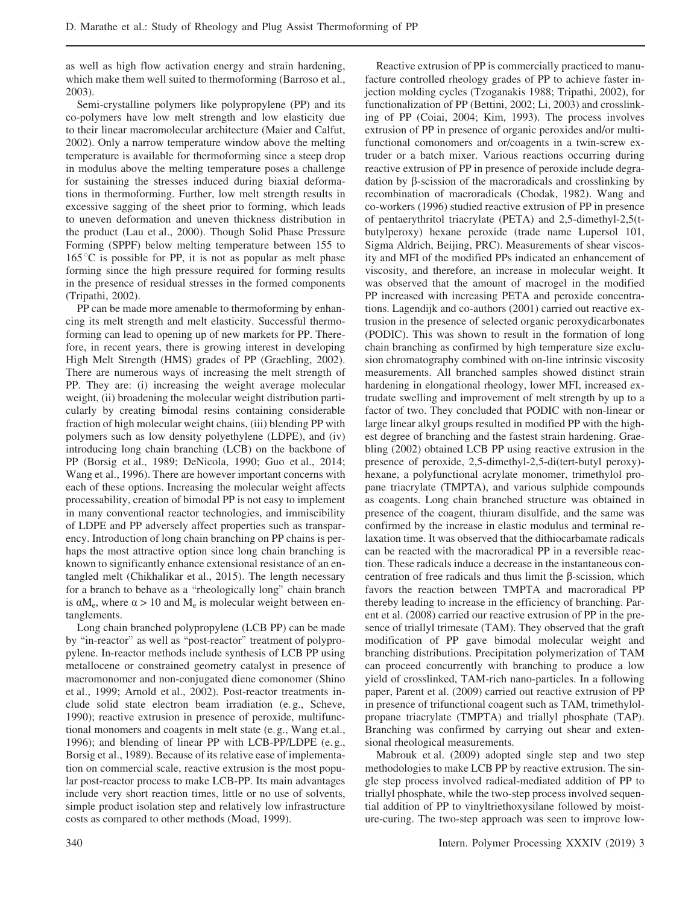as well as high flow activation energy and strain hardening, which make them well suited to thermoforming (Barroso et al., 2003).

Semi-crystalline polymers like polypropylene (PP) and its co-polymers have low melt strength and low elasticity due to their linear macromolecular architecture (Maier and Calfut, 2002). Only a narrow temperature window above the melting temperature is available for thermoforming since a steep drop in modulus above the melting temperature poses a challenge for sustaining the stresses induced during biaxial deformations in thermoforming. Further, low melt strength results in excessive sagging of the sheet prior to forming, which leads to uneven deformation and uneven thickness distribution in the product (Lau et al., 2000). Though Solid Phase Pressure Forming (SPPF) below melting temperature between 155 to  $165^{\circ}$ C is possible for PP, it is not as popular as melt phase forming since the high pressure required for forming results in the presence of residual stresses in the formed components (Tripathi, 2002).

PP can be made more amenable to thermoforming by enhancing its melt strength and melt elasticity. Successful thermoforming can lead to opening up of new markets for PP. Therefore, in recent years, there is growing interest in developing High Melt Strength (HMS) grades of PP (Graebling, 2002). There are numerous ways of increasing the melt strength of PP. They are: (i) increasing the weight average molecular weight, (ii) broadening the molecular weight distribution particularly by creating bimodal resins containing considerable fraction of high molecular weight chains, (iii) blending PP with polymers such as low density polyethylene (LDPE), and (iv) introducing long chain branching (LCB) on the backbone of PP (Borsig et al., 1989; DeNicola, 1990; Guo et al., 2014; Wang et al., 1996). There are however important concerns with each of these options. Increasing the molecular weight affects processability, creation of bimodal PP is not easy to implement in many conventional reactor technologies, and immiscibility of LDPE and PP adversely affect properties such as transparency. Introduction of long chain branching on PP chains is perhaps the most attractive option since long chain branching is known to significantly enhance extensional resistance of an entangled melt (Chikhalikar et al., 2015). The length necessary for a branch to behave as a "rheologically long" chain branch is  $\alpha M_e$ , where  $\alpha > 10$  and  $M_e$  is molecular weight between entanglements.

Long chain branched polypropylene (LCB PP) can be made by "in-reactor" as well as "post-reactor" treatment of polypropylene. In-reactor methods include synthesis of LCB PP using metallocene or constrained geometry catalyst in presence of macromonomer and non-conjugated diene comonomer (Shino et al., 1999; Arnold et al., 2002). Post-reactor treatments include solid state electron beam irradiation (e. g., Scheve, 1990); reactive extrusion in presence of peroxide, multifunctional monomers and coagents in melt state (e. g., Wang et.al., 1996); and blending of linear PP with LCB-PP/LDPE (e. g., Borsig et al., 1989). Because of its relative ease of implementation on commercial scale, reactive extrusion is the most popular post-reactor process to make LCB-PP. Its main advantages include very short reaction times, little or no use of solvents, simple product isolation step and relatively low infrastructure costs as compared to other methods (Moad, 1999).

Reactive extrusion of PP is commercially practiced to manufacture controlled rheology grades of PP to achieve faster injection molding cycles (Tzoganakis 1988; Tripathi, 2002), for functionalization of PP (Bettini, 2002; Li, 2003) and crosslinking of PP (Coiai, 2004; Kim, 1993). The process involves extrusion of PP in presence of organic peroxides and/or multifunctional comonomers and or/coagents in a twin-screw extruder or a batch mixer. Various reactions occurring during reactive extrusion of PP in presence of peroxide include degradation by  $\beta$ -scission of the macroradicals and crosslinking by recombination of macroradicals (Chodak, 1982). Wang and co-workers (1996) studied reactive extrusion of PP in presence of pentaerythritol triacrylate (PETA) and 2,5-dimethyl-2,5(tbutylperoxy) hexane peroxide (trade name Lupersol 101, Sigma Aldrich, Beijing, PRC). Measurements of shear viscosity and MFI of the modified PPs indicated an enhancement of viscosity, and therefore, an increase in molecular weight. It was observed that the amount of macrogel in the modified PP increased with increasing PETA and peroxide concentrations. Lagendijk and co-authors (2001) carried out reactive extrusion in the presence of selected organic peroxydicarbonates (PODIC). This was shown to result in the formation of long chain branching as confirmed by high temperature size exclusion chromatography combined with on-line intrinsic viscosity measurements. All branched samples showed distinct strain hardening in elongational rheology, lower MFI, increased extrudate swelling and improvement of melt strength by up to a factor of two. They concluded that PODIC with non-linear or large linear alkyl groups resulted in modified PP with the highest degree of branching and the fastest strain hardening. Graebling (2002) obtained LCB PP using reactive extrusion in the presence of peroxide, 2,5-dimethyl-2,5-di(tert-butyl peroxy) hexane, a polyfunctional acrylate monomer, trimethylol propane triacrylate (TMPTA), and various sulphide compounds as coagents. Long chain branched structure was obtained in presence of the coagent, thiuram disulfide, and the same was confirmed by the increase in elastic modulus and terminal relaxation time. It was observed that the dithiocarbamate radicals can be reacted with the macroradical PP in a reversible reaction. These radicals induce a decrease in the instantaneous concentration of free radicals and thus limit the  $\beta$ -scission, which favors the reaction between TMPTA and macroradical PP thereby leading to increase in the efficiency of branching. Parent et al. (2008) carried our reactive extrusion of PP in the presence of triallyl trimesate (TAM). They observed that the graft modification of PP gave bimodal molecular weight and branching distributions. Precipitation polymerization of TAM can proceed concurrently with branching to produce a low yield of crosslinked, TAM-rich nano-particles. In a following paper, Parent et al. (2009) carried out reactive extrusion of PP in presence of trifunctional coagent such as TAM, trimethylolpropane triacrylate (TMPTA) and triallyl phosphate (TAP). Branching was confirmed by carrying out shear and extensional rheological measurements.

Mabrouk et al. (2009) adopted single step and two step methodologies to make LCB PP by reactive extrusion. The single step process involved radical-mediated addition of PP to triallyl phosphate, while the two-step process involved sequential addition of PP to vinyltriethoxysilane followed by moisture-curing. The two-step approach was seen to improve low-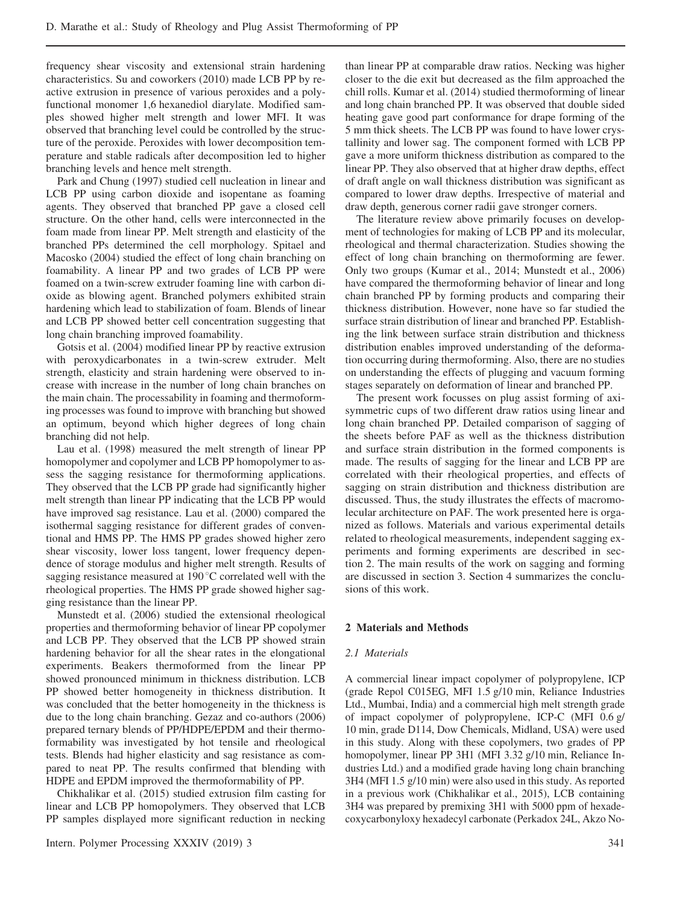frequency shear viscosity and extensional strain hardening characteristics. Su and coworkers (2010) made LCB PP by reactive extrusion in presence of various peroxides and a polyfunctional monomer 1,6 hexanediol diarylate. Modified samples showed higher melt strength and lower MFI. It was observed that branching level could be controlled by the structure of the peroxide. Peroxides with lower decomposition temperature and stable radicals after decomposition led to higher branching levels and hence melt strength.

Park and Chung (1997) studied cell nucleation in linear and LCB PP using carbon dioxide and isopentane as foaming agents. They observed that branched PP gave a closed cell structure. On the other hand, cells were interconnected in the foam made from linear PP. Melt strength and elasticity of the branched PPs determined the cell morphology. Spitael and Macosko (2004) studied the effect of long chain branching on foamability. A linear PP and two grades of LCB PP were foamed on a twin-screw extruder foaming line with carbon dioxide as blowing agent. Branched polymers exhibited strain hardening which lead to stabilization of foam. Blends of linear and LCB PP showed better cell concentration suggesting that long chain branching improved foamability.

Gotsis et al. (2004) modified linear PP by reactive extrusion with peroxydicarbonates in a twin-screw extruder. Melt strength, elasticity and strain hardening were observed to increase with increase in the number of long chain branches on the main chain. The processability in foaming and thermoforming processes was found to improve with branching but showed an optimum, beyond which higher degrees of long chain branching did not help.

Lau et al. (1998) measured the melt strength of linear PP homopolymer and copolymer and LCB PP homopolymer to assess the sagging resistance for thermoforming applications. They observed that the LCB PP grade had significantly higher melt strength than linear PP indicating that the LCB PP would have improved sag resistance. Lau et al. (2000) compared the isothermal sagging resistance for different grades of conventional and HMS PP. The HMS PP grades showed higher zero shear viscosity, lower loss tangent, lower frequency dependence of storage modulus and higher melt strength. Results of sagging resistance measured at 190 °C correlated well with the rheological properties. The HMS PP grade showed higher sagging resistance than the linear PP.

Munstedt et al. (2006) studied the extensional rheological properties and thermoforming behavior of linear PP copolymer and LCB PP. They observed that the LCB PP showed strain hardening behavior for all the shear rates in the elongational experiments. Beakers thermoformed from the linear PP showed pronounced minimum in thickness distribution. LCB PP showed better homogeneity in thickness distribution. It was concluded that the better homogeneity in the thickness is due to the long chain branching. Gezaz and co-authors (2006) prepared ternary blends of PP/HDPE/EPDM and their thermoformability was investigated by hot tensile and rheological tests. Blends had higher elasticity and sag resistance as compared to neat PP. The results confirmed that blending with HDPE and EPDM improved the thermoformability of PP.

Chikhalikar et al. (2015) studied extrusion film casting for linear and LCB PP homopolymers. They observed that LCB PP samples displayed more significant reduction in necking

than linear PP at comparable draw ratios. Necking was higher closer to the die exit but decreased as the film approached the chill rolls. Kumar et al. (2014) studied thermoforming of linear and long chain branched PP. It was observed that double sided heating gave good part conformance for drape forming of the 5 mm thick sheets. The LCB PP was found to have lower crystallinity and lower sag. The component formed with LCB PP gave a more uniform thickness distribution as compared to the linear PP. They also observed that at higher draw depths, effect of draft angle on wall thickness distribution was significant as compared to lower draw depths. Irrespective of material and draw depth, generous corner radii gave stronger corners.

The literature review above primarily focuses on development of technologies for making of LCB PP and its molecular, rheological and thermal characterization. Studies showing the effect of long chain branching on thermoforming are fewer. Only two groups (Kumar et al., 2014; Munstedt et al., 2006) have compared the thermoforming behavior of linear and long chain branched PP by forming products and comparing their thickness distribution. However, none have so far studied the surface strain distribution of linear and branched PP. Establishing the link between surface strain distribution and thickness distribution enables improved understanding of the deformation occurring during thermoforming. Also, there are no studies on understanding the effects of plugging and vacuum forming stages separately on deformation of linear and branched PP.

The present work focusses on plug assist forming of axisymmetric cups of two different draw ratios using linear and long chain branched PP. Detailed comparison of sagging of the sheets before PAF as well as the thickness distribution and surface strain distribution in the formed components is made. The results of sagging for the linear and LCB PP are correlated with their rheological properties, and effects of sagging on strain distribution and thickness distribution are discussed. Thus, the study illustrates the effects of macromolecular architecture on PAF. The work presented here is organized as follows. Materials and various experimental details related to rheological measurements, independent sagging experiments and forming experiments are described in section 2. The main results of the work on sagging and forming are discussed in section 3. Section 4 summarizes the conclusions of this work.

## 2 Materials and Methods

## *2.1 Materials*

A commercial linear impact copolymer of polypropylene, ICP (grade Repol C015EG, MFI 1.5 g/10 min, Reliance Industries Ltd., Mumbai, India) and a commercial high melt strength grade of impact copolymer of polypropylene, ICP-C (MFI 0.6 g/ 10 min, grade D114, Dow Chemicals, Midland, USA) were used in this study. Along with these copolymers, two grades of PP homopolymer, linear PP 3H1 (MFI 3.32 g/10 min, Reliance Industries Ltd.) and a modified grade having long chain branching 3H4 (MFI 1.5 g/10 min) were also used in this study. As reported in a previous work (Chikhalikar et al., 2015), LCB containing 3H4 was prepared by premixing 3H1 with 5000 ppm of hexadecoxycarbonyloxy hexadecyl carbonate (Perkadox 24L, Akzo No-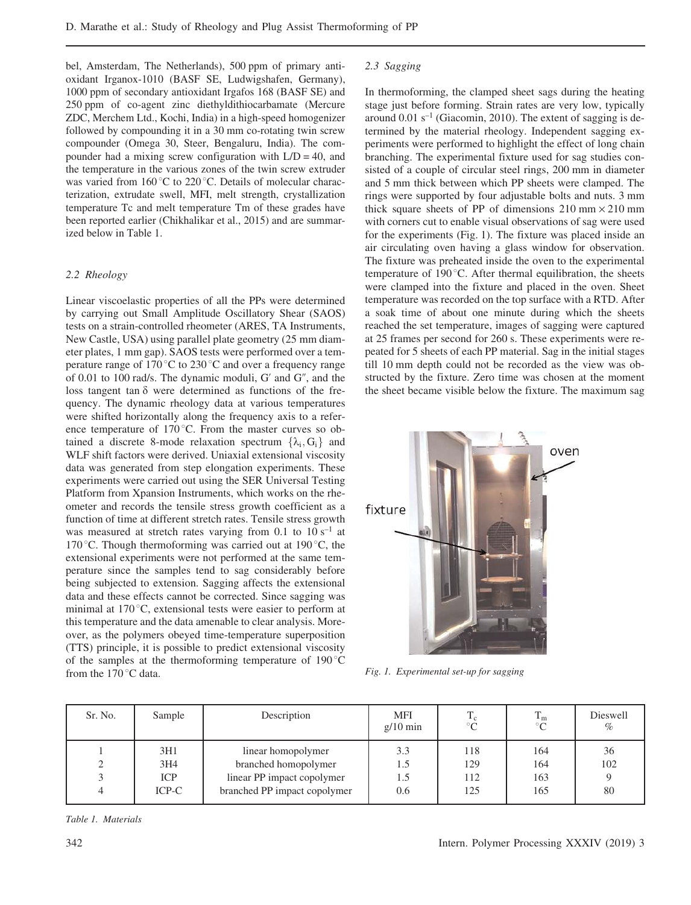bel, Amsterdam, The Netherlands), 500 ppm of primary antioxidant Irganox-1010 (BASF SE, Ludwigshafen, Germany), 1000 ppm of secondary antioxidant Irgafos 168 (BASF SE) and 250 ppm of co-agent zinc diethyldithiocarbamate (Mercure ZDC, Merchem Ltd., Kochi, India) in a high-speed homogenizer followed by compounding it in a 30 mm co-rotating twin screw compounder (Omega 30, Steer, Bengaluru, India). The compounder had a mixing screw configuration with  $L/D = 40$ , and the temperature in the various zones of the twin screw extruder was varied from  $160^{\circ}$ C to  $220^{\circ}$ C. Details of molecular characterization, extrudate swell, MFI, melt strength, crystallization temperature Tc and melt temperature Tm of these grades have been reported earlier (Chikhalikar et al., 2015) and are summarized below in Table 1.

## *2.2 Rheology*

Linear viscoelastic properties of all the PPs were determined by carrying out Small Amplitude Oscillatory Shear (SAOS) tests on a strain-controlled rheometer (ARES, TA Instruments, New Castle, USA) using parallel plate geometry (25 mm diameter plates, 1 mm gap). SAOS tests were performed over a temperature range of 170 $\degree$ C to 230 $\degree$ C and over a frequency range of  $0.01$  to  $100$  rad/s. The dynamic moduli, G' and G'', and the loss tangent tan  $\delta$  were determined as functions of the frequency. The dynamic rheology data at various temperatures were shifted horizontally along the frequency axis to a reference temperature of 170 °C. From the master curves so obtained a discrete 8-mode relaxation spectrum  $\{\lambda_i, G_i\}$  and WLF shift factors were derived. Uniaxial extensional viscosity data was generated from step elongation experiments. These experiments were carried out using the SER Universal Testing Platform from Xpansion Instruments, which works on the rheometer and records the tensile stress growth coefficient as a function of time at different stretch rates. Tensile stress growth was measured at stretch rates varying from 0.1 to  $10 s^{-1}$  at 170 $\degree$ C. Though thermoforming was carried out at 190 $\degree$ C, the extensional experiments were not performed at the same temperature since the samples tend to sag considerably before being subjected to extension. Sagging affects the extensional data and these effects cannot be corrected. Since sagging was minimal at  $170^{\circ}$ C, extensional tests were easier to perform at this temperature and the data amenable to clear analysis. Moreover, as the polymers obeyed time-temperature superposition (TTS) principle, it is possible to predict extensional viscosity of the samples at the thermoforming temperature of  $190^{\circ}$ C from the  $170^{\circ}$ C data.

## *2.3 Sagging*

In thermoforming, the clamped sheet sags during the heating stage just before forming. Strain rates are very low, typically around  $0.01$  s<sup>-1</sup> (Giacomin, 2010). The extent of sagging is determined by the material rheology. Independent sagging experiments were performed to highlight the effect of long chain branching. The experimental fixture used for sag studies consisted of a couple of circular steel rings, 200 mm in diameter and 5 mm thick between which PP sheets were clamped. The rings were supported by four adjustable bolts and nuts. 3 mm thick square sheets of PP of dimensions  $210 \text{ mm} \times 210 \text{ mm}$ with corners cut to enable visual observations of sag were used for the experiments (Fig. 1). The fixture was placed inside an air circulating oven having a glass window for observation. The fixture was preheated inside the oven to the experimental temperature of 190 $^{\circ}$ C. After thermal equilibration, the sheets were clamped into the fixture and placed in the oven. Sheet temperature was recorded on the top surface with a RTD. After a soak time of about one minute during which the sheets reached the set temperature, images of sagging were captured at 25 frames per second for 260 s. These experiments were repeated for 5 sheets of each PP material. Sag in the initial stages till 10 mm depth could not be recorded as the view was obstructed by the fixture. Zero time was chosen at the moment the sheet became visible below the fixture. The maximum sag



*Fig. 1. Experimental set-up for sagging*

| Sr. No. | Sample              | Description                                                | <b>MFI</b><br>$g/10$ min | T<br>$\mathbf{1}_{\text{C}}$<br>$^{\circ}C$ | $T_m$<br>$^{\circ}C$ | Dieswell<br>$\%$ |
|---------|---------------------|------------------------------------------------------------|--------------------------|---------------------------------------------|----------------------|------------------|
|         | 3H1<br>3H4          | linear homopolymer<br>branched homopolymer                 | 3.3<br>1.5               | 118<br>129                                  | 164<br>164           | 36<br>102        |
| 4       | <b>ICP</b><br>ICP-C | linear PP impact copolymer<br>branched PP impact copolymer | 1.5<br>0.6               | 112<br>125                                  | 163<br>165           | 80               |
|         |                     |                                                            |                          |                                             |                      |                  |

*Table 1. Materials*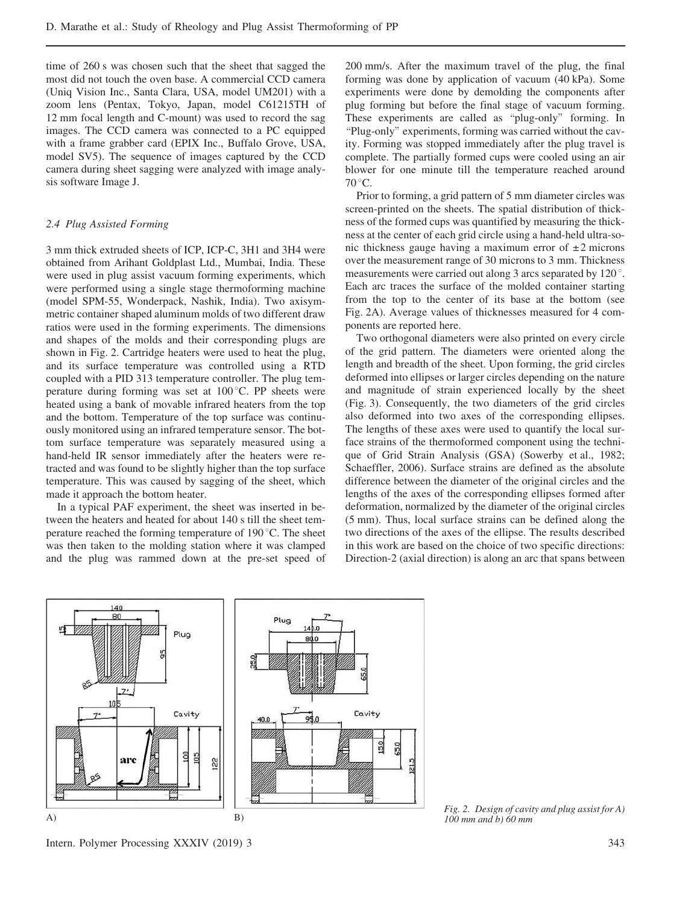time of 260 s was chosen such that the sheet that sagged the most did not touch the oven base. A commercial CCD camera (Uniq Vision Inc., Santa Clara, USA, model UM201) with a zoom lens (Pentax, Tokyo, Japan, model C61215TH of 12 mm focal length and C-mount) was used to record the sag images. The CCD camera was connected to a PC equipped with a frame grabber card (EPIX Inc., Buffalo Grove, USA, model SV5). The sequence of images captured by the CCD camera during sheet sagging were analyzed with image analysis software Image J.

## *2.4 Plug Assisted Forming*

3 mm thick extruded sheets of ICP, ICP-C, 3H1 and 3H4 were obtained from Arihant Goldplast Ltd., Mumbai, India. These were used in plug assist vacuum forming experiments, which were performed using a single stage thermoforming machine (model SPM-55, Wonderpack, Nashik, India). Two axisymmetric container shaped aluminum molds of two different draw ratios were used in the forming experiments. The dimensions and shapes of the molds and their corresponding plugs are shown in Fig. 2. Cartridge heaters were used to heat the plug, and its surface temperature was controlled using a RTD coupled with a PID 313 temperature controller. The plug temperature during forming was set at  $100^{\circ}$ C. PP sheets were heated using a bank of movable infrared heaters from the top and the bottom. Temperature of the top surface was continuously monitored using an infrared temperature sensor. The bottom surface temperature was separately measured using a hand-held IR sensor immediately after the heaters were retracted and was found to be slightly higher than the top surface temperature. This was caused by sagging of the sheet, which made it approach the bottom heater.

In a typical PAF experiment, the sheet was inserted in between the heaters and heated for about 140 s till the sheet temperature reached the forming temperature of  $190^{\circ}$ C. The sheet was then taken to the molding station where it was clamped and the plug was rammed down at the pre-set speed of 200 mm/s. After the maximum travel of the plug, the final forming was done by application of vacuum (40 kPa). Some experiments were done by demolding the components after plug forming but before the final stage of vacuum forming. These experiments are called as "plug-only" forming. In \Plug-only" experiments, forming was carried without the cavity. Forming was stopped immediately after the plug travel is complete. The partially formed cups were cooled using an air blower for one minute till the temperature reached around  $70^{\circ}$ C.

Prior to forming, a grid pattern of 5 mm diameter circles was screen-printed on the sheets. The spatial distribution of thickness of the formed cups was quantified by measuring the thickness at the center of each grid circle using a hand-held ultra-sonic thickness gauge having a maximum error of  $\pm 2$  microns over the measurement range of 30 microns to 3 mm. Thickness measurements were carried out along 3 arcs separated by  $120^\circ$ . Each arc traces the surface of the molded container starting from the top to the center of its base at the bottom (see Fig. 2A). Average values of thicknesses measured for 4 components are reported here.

Two orthogonal diameters were also printed on every circle of the grid pattern. The diameters were oriented along the length and breadth of the sheet. Upon forming, the grid circles deformed into ellipses or larger circles depending on the nature and magnitude of strain experienced locally by the sheet (Fig. 3). Consequently, the two diameters of the grid circles also deformed into two axes of the corresponding ellipses. The lengths of these axes were used to quantify the local surface strains of the thermoformed component using the technique of Grid Strain Analysis (GSA) (Sowerby et al., 1982; Schaeffler, 2006). Surface strains are defined as the absolute difference between the diameter of the original circles and the lengths of the axes of the corresponding ellipses formed after deformation, normalized by the diameter of the original circles (5 mm). Thus, local surface strains can be defined along the two directions of the axes of the ellipse. The results described in this work are based on the choice of two specific directions: Direction-2 (axial direction) is along an arc that spans between



*Fig. 2. Design of cavity and plug assist for A) 100 mm and b) 60 mm*

Intern. Polymer Processing XXXIV (2019) 3 343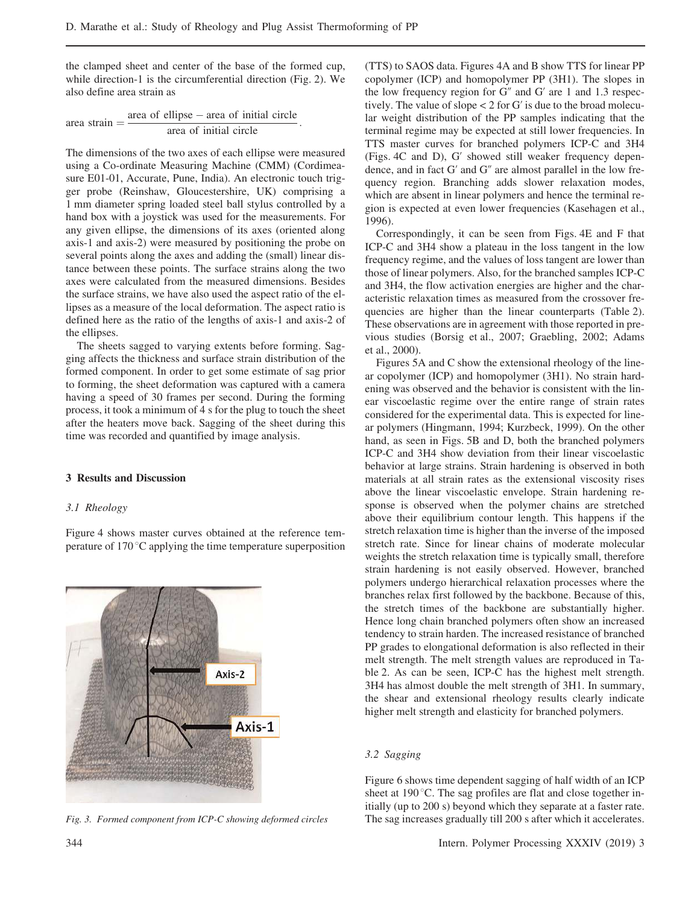the clamped sheet and center of the base of the formed cup, while direction-1 is the circumferential direction (Fig. 2). We also define area strain as

area strain  $=$ area of ellipse - area of initial circle area of initial circle :

The dimensions of the two axes of each ellipse were measured using a Co-ordinate Measuring Machine (CMM) (Cordimeasure E01-01, Accurate, Pune, India). An electronic touch trigger probe (Reinshaw, Gloucestershire, UK) comprising a 1 mm diameter spring loaded steel ball stylus controlled by a hand box with a joystick was used for the measurements. For any given ellipse, the dimensions of its axes (oriented along axis-1 and axis-2) were measured by positioning the probe on several points along the axes and adding the (small) linear distance between these points. The surface strains along the two axes were calculated from the measured dimensions. Besides the surface strains, we have also used the aspect ratio of the ellipses as a measure of the local deformation. The aspect ratio is defined here as the ratio of the lengths of axis-1 and axis-2 of the ellipses.

The sheets sagged to varying extents before forming. Sagging affects the thickness and surface strain distribution of the formed component. In order to get some estimate of sag prior to forming, the sheet deformation was captured with a camera having a speed of 30 frames per second. During the forming process, it took a minimum of 4 s for the plug to touch the sheet after the heaters move back. Sagging of the sheet during this time was recorded and quantified by image analysis.

#### 3 Results and Discussion

#### *3.1 Rheology*

Figure 4 shows master curves obtained at the reference temperature of  $170^{\circ}$ C applying the time temperature superposition



(TTS) to SAOS data. Figures 4A and B show TTS for linear PP copolymer (ICP) and homopolymer PP (3H1). The slopes in the low frequency region for  $G''$  and  $G'$  are 1 and 1.3 respectively. The value of slope < 2 for G' is due to the broad molecular weight distribution of the PP samples indicating that the terminal regime may be expected at still lower frequencies. In TTS master curves for branched polymers ICP-C and 3H4 (Figs. 4C and D), G' showed still weaker frequency dependence, and in fact  $G'$  and  $G''$  are almost parallel in the low frequency region. Branching adds slower relaxation modes, which are absent in linear polymers and hence the terminal region is expected at even lower frequencies (Kasehagen et al., 1996).

Correspondingly, it can be seen from Figs. 4E and F that ICP-C and 3H4 show a plateau in the loss tangent in the low frequency regime, and the values of loss tangent are lower than those of linear polymers. Also, for the branched samples ICP-C and 3H4, the flow activation energies are higher and the characteristic relaxation times as measured from the crossover frequencies are higher than the linear counterparts (Table 2). These observations are in agreement with those reported in previous studies (Borsig et al., 2007; Graebling, 2002; Adams et al., 2000).

Figures 5A and C show the extensional rheology of the linear copolymer (ICP) and homopolymer (3H1). No strain hardening was observed and the behavior is consistent with the linear viscoelastic regime over the entire range of strain rates considered for the experimental data. This is expected for linear polymers (Hingmann, 1994; Kurzbeck, 1999). On the other hand, as seen in Figs. 5B and D, both the branched polymers ICP-C and 3H4 show deviation from their linear viscoelastic behavior at large strains. Strain hardening is observed in both materials at all strain rates as the extensional viscosity rises above the linear viscoelastic envelope. Strain hardening response is observed when the polymer chains are stretched above their equilibrium contour length. This happens if the stretch relaxation time is higher than the inverse of the imposed stretch rate. Since for linear chains of moderate molecular weights the stretch relaxation time is typically small, therefore strain hardening is not easily observed. However, branched polymers undergo hierarchical relaxation processes where the branches relax first followed by the backbone. Because of this, the stretch times of the backbone are substantially higher. Hence long chain branched polymers often show an increased tendency to strain harden. The increased resistance of branched PP grades to elongational deformation is also reflected in their melt strength. The melt strength values are reproduced in Table 2. As can be seen, ICP-C has the highest melt strength. 3H4 has almost double the melt strength of 3H1. In summary, the shear and extensional rheology results clearly indicate higher melt strength and elasticity for branched polymers.

# *3.2 Sagging*

Figure 6 shows time dependent sagging of half width of an ICP sheet at 190 $^{\circ}$ C. The sag profiles are flat and close together initially (up to 200 s) beyond which they separate at a faster rate. *Fig. 3. Formed component from ICP-C showing deformed circles* The sag increases gradually till 200 s after which it accelerates.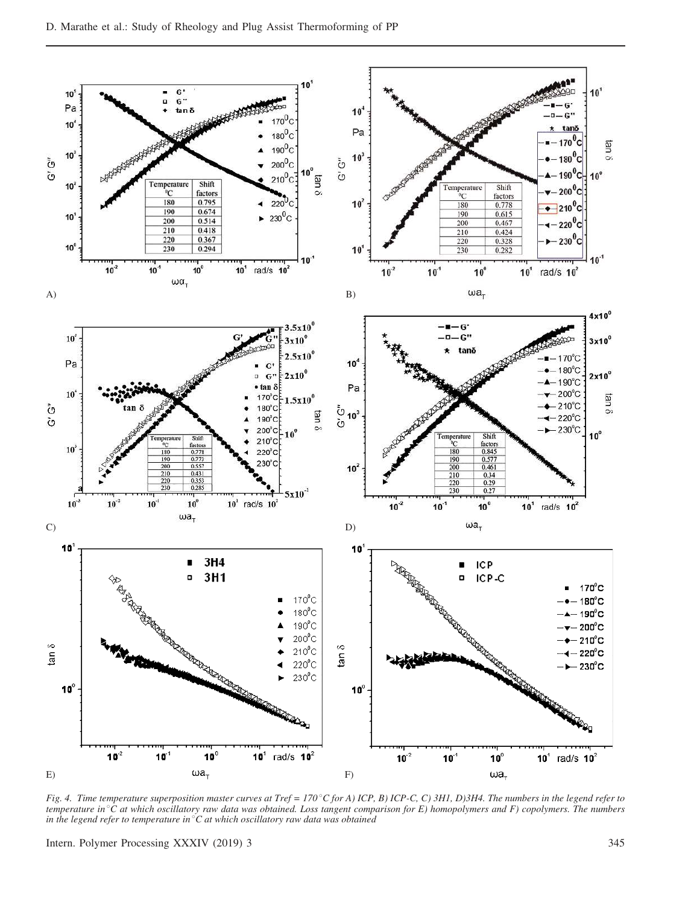

*Fig. 4. Time temperature superposition master curves at Tref* = 170°C for A) ICP, B) ICP-C, C) 3H1, D)3H4. The numbers in the legend refer to *temperature in*  $\circ \mathcal{C}$  at which oscillatory raw data was obtained. Loss tangent comparison for E) homopolymers and F) copolymers. The numbers *in the legend refer to temperature in*  $\sqrt{c}$  *at which oscillatory raw data was obtained* 

Intern. Polymer Processing XXXIV (2019) 3 345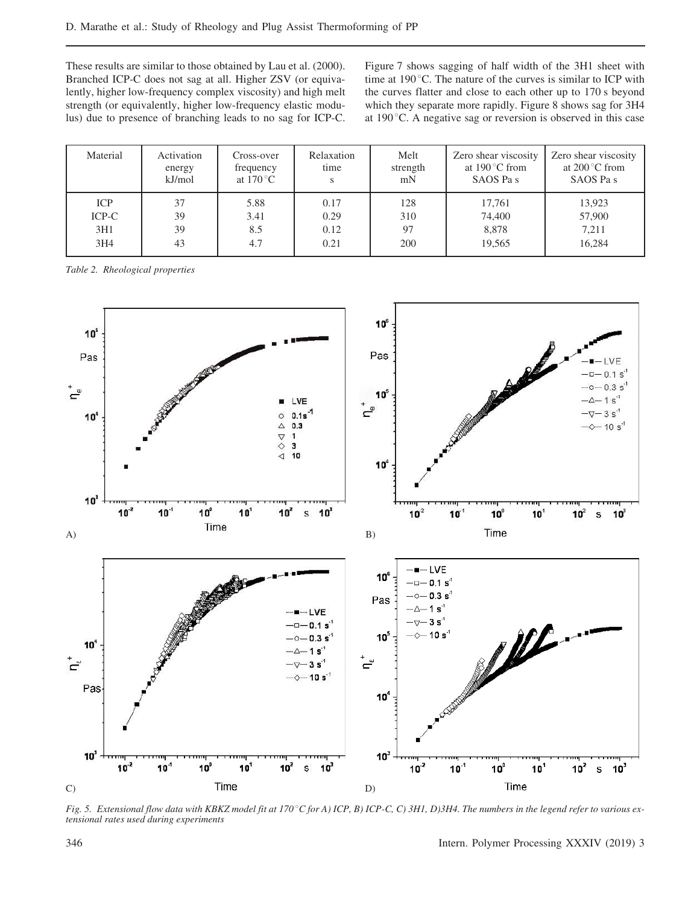These results are similar to those obtained by Lau et al. (2000). Branched ICP-C does not sag at all. Higher ZSV (or equivalently, higher low-frequency complex viscosity) and high melt strength (or equivalently, higher low-frequency elastic modulus) due to presence of branching leads to no sag for ICP-C. Figure 7 shows sagging of half width of the 3H1 sheet with time at 190 $^{\circ}$ C. The nature of the curves is similar to ICP with the curves flatter and close to each other up to 170 s beyond which they separate more rapidly. Figure 8 shows sag for 3H4 at  $190^{\circ}$ C. A negative sag or reversion is observed in this case

| Material        | Activation<br>energy<br>kJ/mol | Cross-over<br>frequency<br>at 170 $\mathrm{^{\circ}C}$ | Relaxation<br>time<br>S | Melt<br>strength<br>mN | Zero shear viscosity<br>at 190 $\degree$ C from<br>SAOS Pas | Zero shear viscosity<br>at $200^{\circ}$ C from<br>SAOS Pas |
|-----------------|--------------------------------|--------------------------------------------------------|-------------------------|------------------------|-------------------------------------------------------------|-------------------------------------------------------------|
| <b>ICP</b>      | 37                             | 5.88                                                   | 0.17                    | 128                    | 17,761                                                      | 13,923                                                      |
| ICP-C           | 39                             | 3.41                                                   | 0.29                    | 310                    | 74,400                                                      | 57,900                                                      |
| 3H1             | 39                             | 8.5                                                    | 0.12                    | 97                     | 8,878                                                       | 7,211                                                       |
| 3H <sub>4</sub> | 43                             | 4.7                                                    | 0.21                    | 200                    | 19,565                                                      | 16,284                                                      |

*Table 2. Rheological properties*



*Fig.* 5. Extensional flow data with KBKZ model fit at 170°C for A) ICP, B) ICP-C, C) 3H1, D)3H4. The numbers in the legend refer to various ex*tensional rates used during experiments*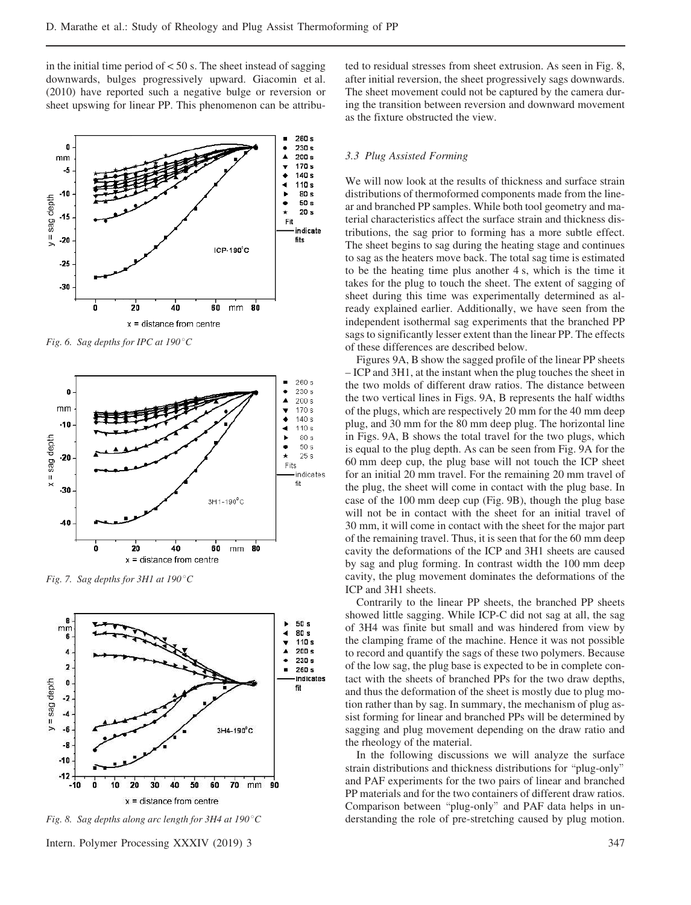in the initial time period of  $< 50$  s. The sheet instead of sagging downwards, bulges progressively upward. Giacomin et al. (2010) have reported such a negative bulge or reversion or sheet upswing for linear PP. This phenomenon can be attribu-



*Fig. 6. Sag depths for IPC at 190* °C



*Fig. 7. Sag depths for 3H1 at 190* $^{\circ}$ *C* 



*Fig. 8. Sag depths along arc length for 3H4 at 190°C* 

ted to residual stresses from sheet extrusion. As seen in Fig. 8, after initial reversion, the sheet progressively sags downwards. The sheet movement could not be captured by the camera during the transition between reversion and downward movement as the fixture obstructed the view.

## *3.3 Plug Assisted Forming*

We will now look at the results of thickness and surface strain distributions of thermoformed components made from the linear and branched PP samples. While both tool geometry and material characteristics affect the surface strain and thickness distributions, the sag prior to forming has a more subtle effect. The sheet begins to sag during the heating stage and continues to sag as the heaters move back. The total sag time is estimated to be the heating time plus another 4 s, which is the time it takes for the plug to touch the sheet. The extent of sagging of sheet during this time was experimentally determined as already explained earlier. Additionally, we have seen from the independent isothermal sag experiments that the branched PP sags to significantly lesser extent than the linear PP. The effects of these differences are described below.

Figures 9A, B show the sagged profile of the linear PP sheets – ICP and 3H1, at the instant when the plug touches the sheet in the two molds of different draw ratios. The distance between the two vertical lines in Figs. 9A, B represents the half widths of the plugs, which are respectively 20 mm for the 40 mm deep plug, and 30 mm for the 80 mm deep plug. The horizontal line in Figs. 9A, B shows the total travel for the two plugs, which is equal to the plug depth. As can be seen from Fig. 9A for the 60 mm deep cup, the plug base will not touch the ICP sheet for an initial 20 mm travel. For the remaining 20 mm travel of the plug, the sheet will come in contact with the plug base. In case of the 100 mm deep cup (Fig. 9B), though the plug base will not be in contact with the sheet for an initial travel of 30 mm, it will come in contact with the sheet for the major part of the remaining travel. Thus, it is seen that for the 60 mm deep cavity the deformations of the ICP and 3H1 sheets are caused by sag and plug forming. In contrast width the 100 mm deep cavity, the plug movement dominates the deformations of the ICP and 3H1 sheets.

Contrarily to the linear PP sheets, the branched PP sheets showed little sagging. While ICP-C did not sag at all, the sag of 3H4 was finite but small and was hindered from view by the clamping frame of the machine. Hence it was not possible to record and quantify the sags of these two polymers. Because of the low sag, the plug base is expected to be in complete contact with the sheets of branched PPs for the two draw depths, and thus the deformation of the sheet is mostly due to plug motion rather than by sag. In summary, the mechanism of plug assist forming for linear and branched PPs will be determined by sagging and plug movement depending on the draw ratio and the rheology of the material.

In the following discussions we will analyze the surface strain distributions and thickness distributions for "plug-only" and PAF experiments for the two pairs of linear and branched PP materials and for the two containers of different draw ratios. Comparison between "plug-only" and PAF data helps in understanding the role of pre-stretching caused by plug motion.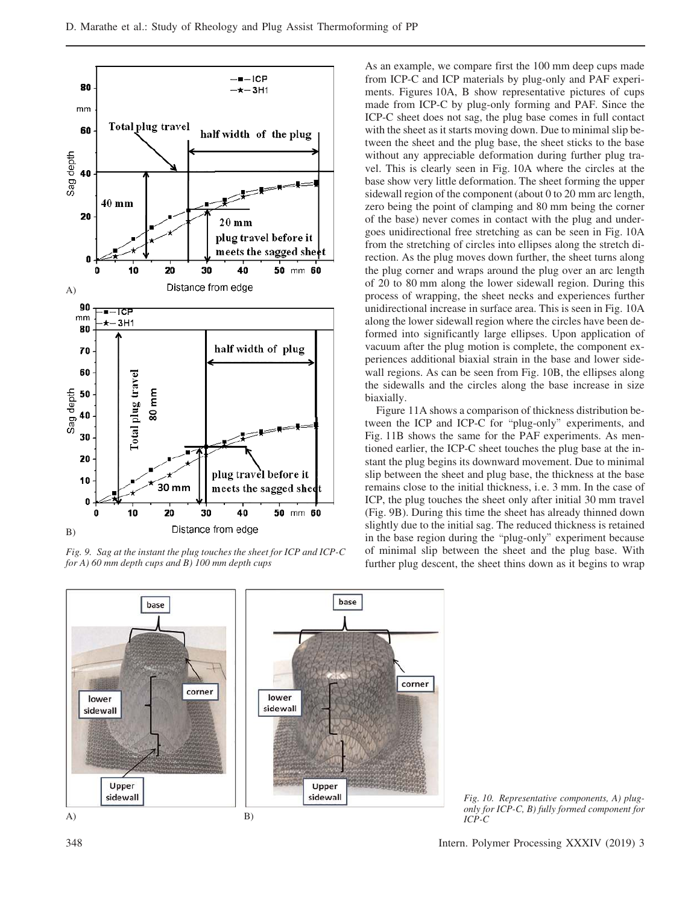

*Fig. 9. Sag at the instant the plug touches the sheet for ICP and ICP-C for A) 60 mm depth cups and B) 100 mm depth cups*

As an example, we compare first the 100 mm deep cups made from ICP-C and ICP materials by plug-only and PAF experiments. Figures 10A, B show representative pictures of cups made from ICP-C by plug-only forming and PAF. Since the ICP-C sheet does not sag, the plug base comes in full contact with the sheet as it starts moving down. Due to minimal slip between the sheet and the plug base, the sheet sticks to the base without any appreciable deformation during further plug travel. This is clearly seen in Fig. 10A where the circles at the base show very little deformation. The sheet forming the upper sidewall region of the component (about 0 to 20 mm arc length, zero being the point of clamping and 80 mm being the corner of the base) never comes in contact with the plug and undergoes unidirectional free stretching as can be seen in Fig. 10A from the stretching of circles into ellipses along the stretch direction. As the plug moves down further, the sheet turns along the plug corner and wraps around the plug over an arc length of 20 to 80 mm along the lower sidewall region. During this process of wrapping, the sheet necks and experiences further unidirectional increase in surface area. This is seen in Fig. 10A along the lower sidewall region where the circles have been deformed into significantly large ellipses. Upon application of vacuum after the plug motion is complete, the component experiences additional biaxial strain in the base and lower sidewall regions. As can be seen from Fig. 10B, the ellipses along the sidewalls and the circles along the base increase in size biaxially.

Figure 11A shows a comparison of thickness distribution between the ICP and ICP-C for "plug-only" experiments, and Fig. 11B shows the same for the PAF experiments. As mentioned earlier, the ICP-C sheet touches the plug base at the instant the plug begins its downward movement. Due to minimal slip between the sheet and plug base, the thickness at the base remains close to the initial thickness, i. e. 3 mm. In the case of ICP, the plug touches the sheet only after initial 30 mm travel (Fig. 9B). During this time the sheet has already thinned down slightly due to the initial sag. The reduced thickness is retained in the base region during the "plug-only" experiment because of minimal slip between the sheet and the plug base. With further plug descent, the sheet thins down as it begins to wrap



*Fig. 10. Representative components, A) plugonly for ICP-C, B) fully formed component for ICP-C*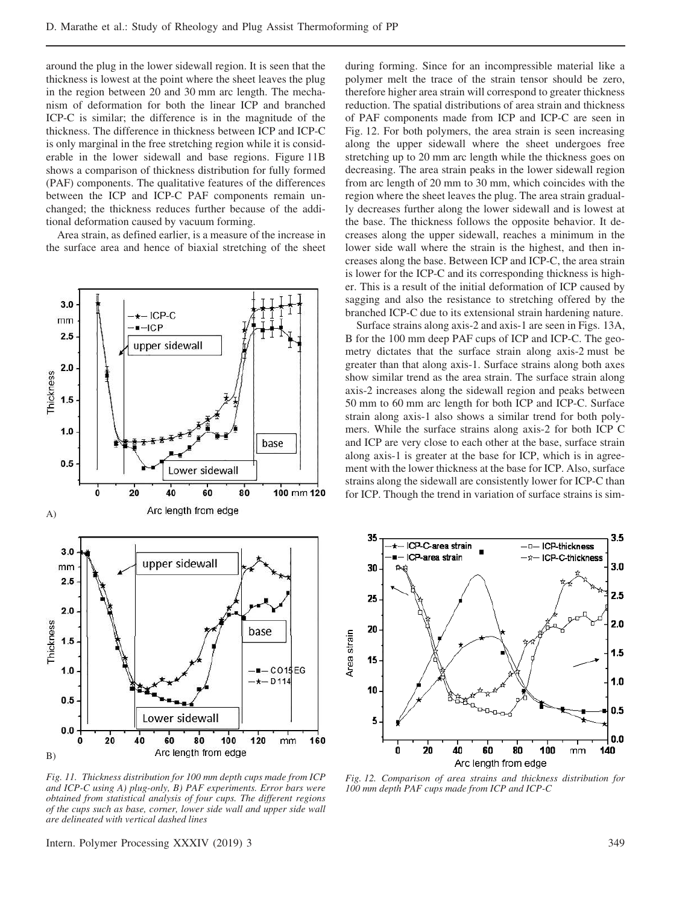around the plug in the lower sidewall region. It is seen that the thickness is lowest at the point where the sheet leaves the plug in the region between 20 and 30 mm arc length. The mechanism of deformation for both the linear ICP and branched ICP-C is similar; the difference is in the magnitude of the thickness. The difference in thickness between ICP and ICP-C is only marginal in the free stretching region while it is considerable in the lower sidewall and base regions. Figure 11B shows a comparison of thickness distribution for fully formed (PAF) components. The qualitative features of the differences between the ICP and ICP-C PAF components remain unchanged; the thickness reduces further because of the additional deformation caused by vacuum forming.

Area strain, as defined earlier, is a measure of the increase in the surface area and hence of biaxial stretching of the sheet



*Fig. 11. Thickness distribution for 100 mm depth cups made from ICP and ICP-C using A) plug-only, B) PAF experiments. Error bars were obtained from statistical analysis of four cups. The different regions of the cups such as base, corner, lower side wall and upper side wall are delineated with vertical dashed lines*

polymer melt the trace of the strain tensor should be zero, therefore higher area strain will correspond to greater thickness reduction. The spatial distributions of area strain and thickness of PAF components made from ICP and ICP-C are seen in Fig. 12. For both polymers, the area strain is seen increasing along the upper sidewall where the sheet undergoes free stretching up to 20 mm arc length while the thickness goes on decreasing. The area strain peaks in the lower sidewall region from arc length of 20 mm to 30 mm, which coincides with the region where the sheet leaves the plug. The area strain gradually decreases further along the lower sidewall and is lowest at the base. The thickness follows the opposite behavior. It decreases along the upper sidewall, reaches a minimum in the lower side wall where the strain is the highest, and then increases along the base. Between ICP and ICP-C, the area strain is lower for the ICP-C and its corresponding thickness is higher. This is a result of the initial deformation of ICP caused by sagging and also the resistance to stretching offered by the branched ICP-C due to its extensional strain hardening nature. Surface strains along axis-2 and axis-1 are seen in Figs. 13A,

during forming. Since for an incompressible material like a

B for the 100 mm deep PAF cups of ICP and ICP-C. The geometry dictates that the surface strain along axis-2 must be greater than that along axis-1. Surface strains along both axes show similar trend as the area strain. The surface strain along axis-2 increases along the sidewall region and peaks between 50 mm to 60 mm arc length for both ICP and ICP-C. Surface strain along axis-1 also shows a similar trend for both polymers. While the surface strains along axis-2 for both ICP C and ICP are very close to each other at the base, surface strain along axis-1 is greater at the base for ICP, which is in agreement with the lower thickness at the base for ICP. Also, surface strains along the sidewall are consistently lower for ICP-C than for ICP. Though the trend in variation of surface strains is sim-



*Fig. 12. Comparison of area strains and thickness distribution for 100 mm depth PAF cups made from ICP and ICP-C*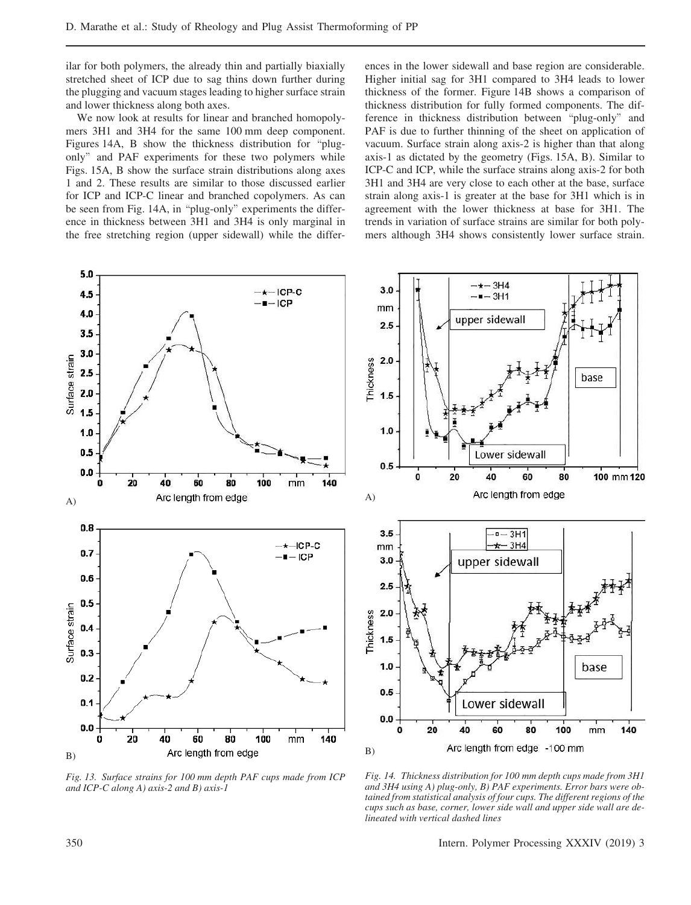ilar for both polymers, the already thin and partially biaxially stretched sheet of ICP due to sag thins down further during the plugging and vacuum stages leading to higher surface strain and lower thickness along both axes.

We now look at results for linear and branched homopolymers 3H1 and 3H4 for the same 100 mm deep component. Figures 14A, B show the thickness distribution for "plugonly" and PAF experiments for these two polymers while Figs. 15A, B show the surface strain distributions along axes 1 and 2. These results are similar to those discussed earlier for ICP and ICP-C linear and branched copolymers. As can be seen from Fig. 14A, in "plug-only" experiments the difference in thickness between 3H1 and 3H4 is only marginal in the free stretching region (upper sidewall) while the differences in the lower sidewall and base region are considerable. Higher initial sag for 3H1 compared to 3H4 leads to lower thickness of the former. Figure 14B shows a comparison of thickness distribution for fully formed components. The difference in thickness distribution between "plug-only" and PAF is due to further thinning of the sheet on application of vacuum. Surface strain along axis-2 is higher than that along axis-1 as dictated by the geometry (Figs. 15A, B). Similar to ICP-C and ICP, while the surface strains along axis-2 for both 3H1 and 3H4 are very close to each other at the base, surface strain along axis-1 is greater at the base for 3H1 which is in agreement with the lower thickness at base for 3H1. The trends in variation of surface strains are similar for both polymers although 3H4 shows consistently lower surface strain.





*Fig. 13. Surface strains for 100 mm depth PAF cups made from ICP and ICP-C along A) axis-2 and B) axis-1*

*Fig. 14. Thickness distribution for 100 mm depth cups made from 3H1 and 3H4 using A) plug-only, B) PAF experiments. Error bars were obtained from statistical analysis of four cups. The different regions of the cups such as base, corner, lower side wall and upper side wall are delineated with vertical dashed lines*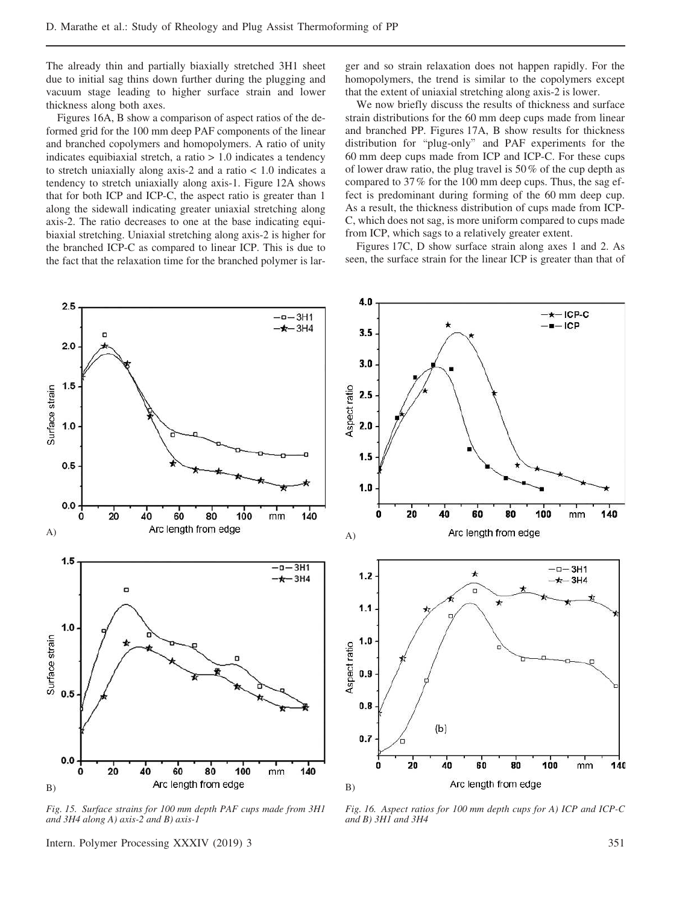The already thin and partially biaxially stretched 3H1 sheet due to initial sag thins down further during the plugging and vacuum stage leading to higher surface strain and lower thickness along both axes.

Figures 16A, B show a comparison of aspect ratios of the deformed grid for the 100 mm deep PAF components of the linear and branched copolymers and homopolymers. A ratio of unity indicates equibiaxial stretch, a ratio  $> 1.0$  indicates a tendency to stretch uniaxially along axis-2 and a ratio  $< 1.0$  indicates a tendency to stretch uniaxially along axis-1. Figure 12A shows that for both ICP and ICP-C, the aspect ratio is greater than 1 along the sidewall indicating greater uniaxial stretching along axis-2. The ratio decreases to one at the base indicating equibiaxial stretching. Uniaxial stretching along axis-2 is higher for the branched ICP-C as compared to linear ICP. This is due to the fact that the relaxation time for the branched polymer is lar-

ger and so strain relaxation does not happen rapidly. For the homopolymers, the trend is similar to the copolymers except that the extent of uniaxial stretching along axis-2 is lower.

We now briefly discuss the results of thickness and surface strain distributions for the 60 mm deep cups made from linear and branched PP. Figures 17A, B show results for thickness distribution for "plug-only" and PAF experiments for the 60 mm deep cups made from ICP and ICP-C. For these cups of lower draw ratio, the plug travel is 50% of the cup depth as compared to 37% for the 100 mm deep cups. Thus, the sag effect is predominant during forming of the 60 mm deep cup. As a result, the thickness distribution of cups made from ICP-C, which does not sag, is more uniform compared to cups made from ICP, which sags to a relatively greater extent.

Figures 17C, D show surface strain along axes 1 and 2. As seen, the surface strain for the linear ICP is greater than that of



*Fig. 15. Surface strains for 100 mm depth PAF cups made from 3H1 and 3H4 along A) axis-2 and B) axis-1*

*Fig. 16. Aspect ratios for 100 mm depth cups for A) ICP and ICP-C and B) 3H1 and 3H4*

Intern. Polymer Processing XXXIV (2019) 3 351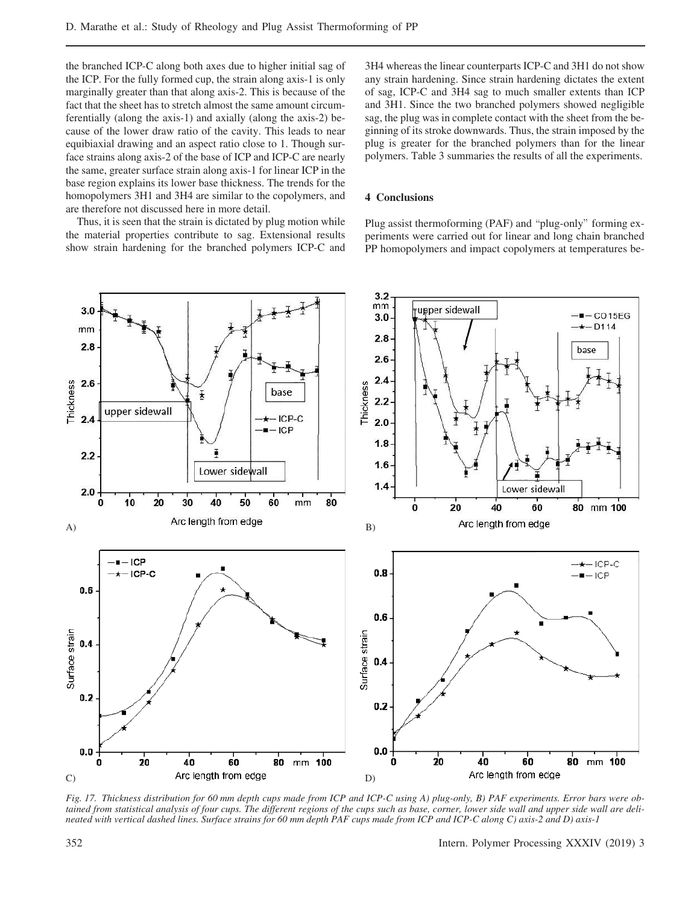the branched ICP-C along both axes due to higher initial sag of the ICP. For the fully formed cup, the strain along axis-1 is only marginally greater than that along axis-2. This is because of the fact that the sheet has to stretch almost the same amount circumferentially (along the axis-1) and axially (along the axis-2) because of the lower draw ratio of the cavity. This leads to near equibiaxial drawing and an aspect ratio close to 1. Though surface strains along axis-2 of the base of ICP and ICP-C are nearly the same, greater surface strain along axis-1 for linear ICP in the base region explains its lower base thickness. The trends for the homopolymers 3H1 and 3H4 are similar to the copolymers, and are therefore not discussed here in more detail.

Thus, it is seen that the strain is dictated by plug motion while the material properties contribute to sag. Extensional results show strain hardening for the branched polymers ICP-C and 3H4 whereas the linear counterparts ICP-C and 3H1 do not show any strain hardening. Since strain hardening dictates the extent of sag, ICP-C and 3H4 sag to much smaller extents than ICP and 3H1. Since the two branched polymers showed negligible sag, the plug was in complete contact with the sheet from the beginning of its stroke downwards. Thus, the strain imposed by the plug is greater for the branched polymers than for the linear polymers. Table 3 summaries the results of all the experiments.

# 4 Conclusions

Plug assist thermoforming (PAF) and "plug-only" forming experiments were carried out for linear and long chain branched PP homopolymers and impact copolymers at temperatures be-



*Fig. 17. Thickness distribution for 60 mm depth cups made from ICP and ICP-C using A) plug-only, B) PAF experiments. Error bars were obtained from statistical analysis of four cups. The different regions of the cups such as base, corner, lower side wall and upper side wall are delineated with vertical dashed lines. Surface strains for 60 mm depth PAF cups made from ICP and ICP-C along C) axis-2 and D) axis-1*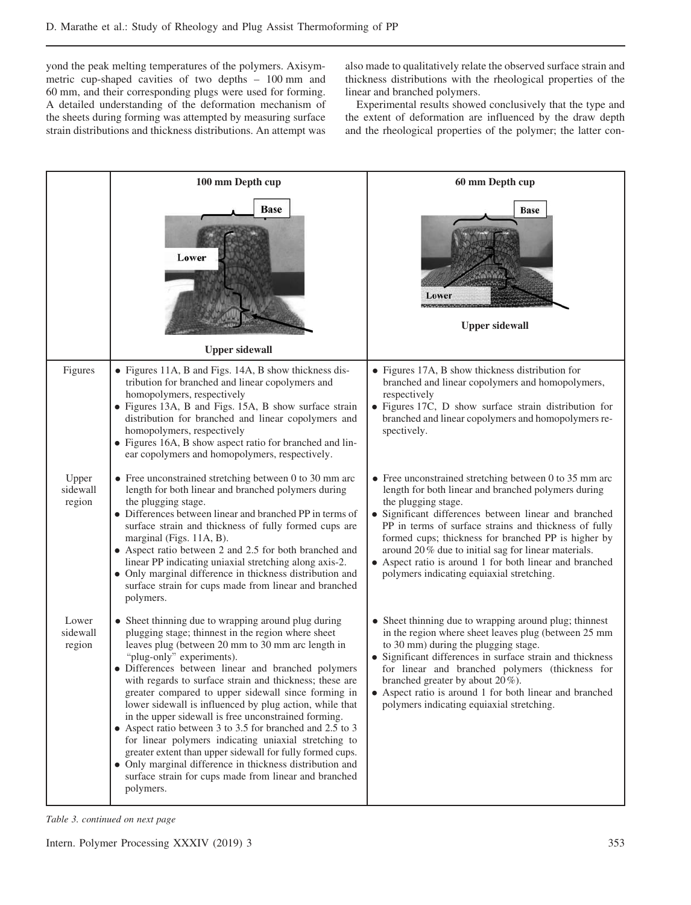yond the peak melting temperatures of the polymers. Axisymmetric cup-shaped cavities of two depths – 100 mm and 60 mm, and their corresponding plugs were used for forming. A detailed understanding of the deformation mechanism of the sheets during forming was attempted by measuring surface strain distributions and thickness distributions. An attempt was

also made to qualitatively relate the observed surface strain and thickness distributions with the rheological properties of the linear and branched polymers.

Experimental results showed conclusively that the type and the extent of deformation are influenced by the draw depth and the rheological properties of the polymer; the latter con-

|                             | 100 mm Depth cup                                                                                                                                                                                                                                                                                                                                                                                                                                                                                                                                                                                                                                                                                                                                                                                            | 60 mm Depth cup                                                                                                                                                                                                                                                                                                                                                                                                                                                                      |  |  |
|-----------------------------|-------------------------------------------------------------------------------------------------------------------------------------------------------------------------------------------------------------------------------------------------------------------------------------------------------------------------------------------------------------------------------------------------------------------------------------------------------------------------------------------------------------------------------------------------------------------------------------------------------------------------------------------------------------------------------------------------------------------------------------------------------------------------------------------------------------|--------------------------------------------------------------------------------------------------------------------------------------------------------------------------------------------------------------------------------------------------------------------------------------------------------------------------------------------------------------------------------------------------------------------------------------------------------------------------------------|--|--|
|                             | <b>Base</b><br>Lower<br><b>Upper sidewall</b>                                                                                                                                                                                                                                                                                                                                                                                                                                                                                                                                                                                                                                                                                                                                                               | <b>Base</b><br>Lower<br><b>Upper sidewall</b>                                                                                                                                                                                                                                                                                                                                                                                                                                        |  |  |
| Figures                     | • Figures 11A, B and Figs. 14A, B show thickness dis-<br>tribution for branched and linear copolymers and<br>homopolymers, respectively<br>• Figures 13A, B and Figs. 15A, B show surface strain<br>distribution for branched and linear copolymers and<br>homopolymers, respectively<br>• Figures 16A, B show aspect ratio for branched and lin-<br>ear copolymers and homopolymers, respectively.                                                                                                                                                                                                                                                                                                                                                                                                         | • Figures 17A, B show thickness distribution for<br>branched and linear copolymers and homopolymers,<br>respectively<br>· Figures 17C, D show surface strain distribution for<br>branched and linear copolymers and homopolymers re-<br>spectively.                                                                                                                                                                                                                                  |  |  |
| Upper<br>sidewall<br>region | $\bullet$ Free unconstrained stretching between 0 to 30 mm arc<br>length for both linear and branched polymers during<br>the plugging stage.<br>• Differences between linear and branched PP in terms of<br>surface strain and thickness of fully formed cups are<br>marginal (Figs. 11A, B).<br>• Aspect ratio between 2 and 2.5 for both branched and<br>linear PP indicating uniaxial stretching along axis-2.<br>• Only marginal difference in thickness distribution and<br>surface strain for cups made from linear and branched<br>polymers.                                                                                                                                                                                                                                                         | $\bullet$ Free unconstrained stretching between 0 to 35 mm arc<br>length for both linear and branched polymers during<br>the plugging stage.<br>• Significant differences between linear and branched<br>PP in terms of surface strains and thickness of fully<br>formed cups; thickness for branched PP is higher by<br>around 20% due to initial sag for linear materials.<br>• Aspect ratio is around 1 for both linear and branched<br>polymers indicating equiaxial stretching. |  |  |
| Lower<br>sidewall<br>region | • Sheet thinning due to wrapping around plug during<br>plugging stage; thinnest in the region where sheet<br>leaves plug (between 20 mm to 30 mm arc length in<br>"plug-only" experiments).<br>· Differences between linear and branched polymers<br>with regards to surface strain and thickness; these are<br>greater compared to upper sidewall since forming in<br>lower sidewall is influenced by plug action, while that<br>in the upper sidewall is free unconstrained forming.<br>• Aspect ratio between 3 to 3.5 for branched and 2.5 to 3<br>for linear polymers indicating uniaxial stretching to<br>greater extent than upper sidewall for fully formed cups.<br>• Only marginal difference in thickness distribution and<br>surface strain for cups made from linear and branched<br>polymers. | • Sheet thinning due to wrapping around plug; thinnest<br>in the region where sheet leaves plug (between 25 mm<br>to 30 mm) during the plugging stage.<br>• Significant differences in surface strain and thickness<br>for linear and branched polymers (thickness for<br>branched greater by about $20\%$ ).<br>• Aspect ratio is around 1 for both linear and branched<br>polymers indicating equiaxial stretching.                                                                |  |  |

*Table 3. continued on next page*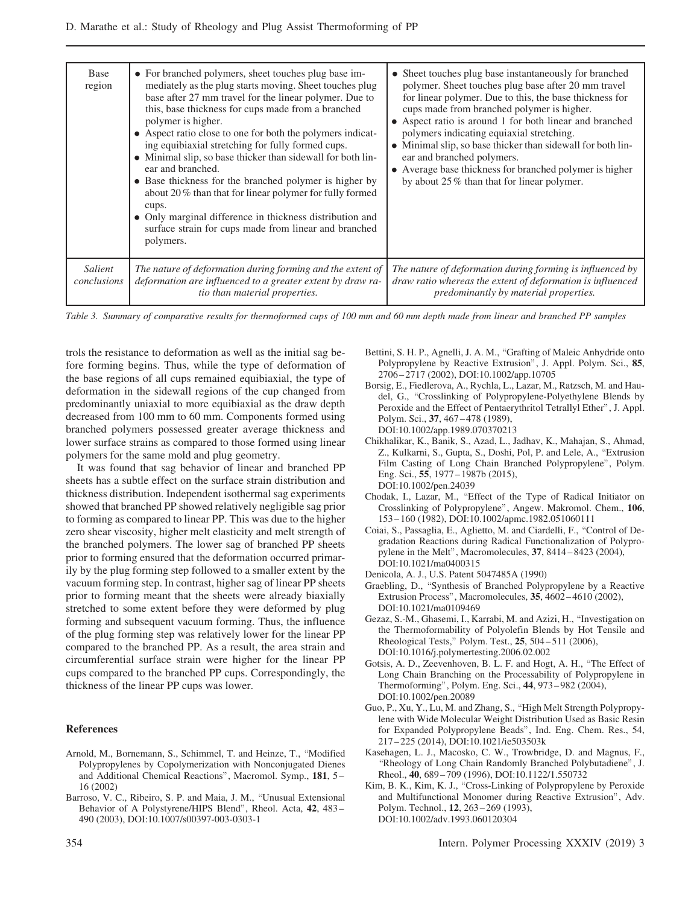| Base<br>region         | • For branched polymers, sheet touches plug base im-<br>mediately as the plug starts moving. Sheet touches plug<br>base after 27 mm travel for the linear polymer. Due to<br>this, base thickness for cups made from a branched<br>polymer is higher.<br>• Aspect ratio close to one for both the polymers indicat-<br>ing equibiaxial stretching for fully formed cups.<br>• Minimal slip, so base thicker than sidewall for both lin-<br>ear and branched.<br>• Base thickness for the branched polymer is higher by<br>about 20% than that for linear polymer for fully formed<br>cups.<br>• Only marginal difference in thickness distribution and<br>surface strain for cups made from linear and branched<br>polymers. | • Sheet touches plug base instantaneously for branched<br>polymer. Sheet touches plug base after 20 mm travel<br>for linear polymer. Due to this, the base thickness for<br>cups made from branched polymer is higher.<br>• Aspect ratio is around 1 for both linear and branched<br>polymers indicating equiaxial stretching.<br>• Minimal slip, so base thicker than sidewall for both lin-<br>ear and branched polymers.<br>• Average base thickness for branched polymer is higher<br>by about 25% than that for linear polymer. |
|------------------------|------------------------------------------------------------------------------------------------------------------------------------------------------------------------------------------------------------------------------------------------------------------------------------------------------------------------------------------------------------------------------------------------------------------------------------------------------------------------------------------------------------------------------------------------------------------------------------------------------------------------------------------------------------------------------------------------------------------------------|--------------------------------------------------------------------------------------------------------------------------------------------------------------------------------------------------------------------------------------------------------------------------------------------------------------------------------------------------------------------------------------------------------------------------------------------------------------------------------------------------------------------------------------|
| Salient<br>conclusions | The nature of deformation during forming and the extent of<br>deformation are influenced to a greater extent by draw ra-<br>tio than material properties.                                                                                                                                                                                                                                                                                                                                                                                                                                                                                                                                                                    | The nature of deformation during forming is influenced by<br>draw ratio whereas the extent of deformation is influenced<br>predominantly by material properties.                                                                                                                                                                                                                                                                                                                                                                     |

*Table 3. Summary of comparative results for thermoformed cups of 100 mm and 60 mm depth made from linear and branched PP samples*

trols the resistance to deformation as well as the initial sag before forming begins. Thus, while the type of deformation of the base regions of all cups remained equibiaxial, the type of deformation in the sidewall regions of the cup changed from predominantly uniaxial to more equibiaxial as the draw depth decreased from 100 mm to 60 mm. Components formed using branched polymers possessed greater average thickness and lower surface strains as compared to those formed using linear polymers for the same mold and plug geometry.

It was found that sag behavior of linear and branched PP sheets has a subtle effect on the surface strain distribution and thickness distribution. Independent isothermal sag experiments showed that branched PP showed relatively negligible sag prior to forming as compared to linear PP. This was due to the higher zero shear viscosity, higher melt elasticity and melt strength of the branched polymers. The lower sag of branched PP sheets prior to forming ensured that the deformation occurred primarily by the plug forming step followed to a smaller extent by the vacuum forming step. In contrast, higher sag of linear PP sheets prior to forming meant that the sheets were already biaxially stretched to some extent before they were deformed by plug forming and subsequent vacuum forming. Thus, the influence of the plug forming step was relatively lower for the linear PP compared to the branched PP. As a result, the area strain and circumferential surface strain were higher for the linear PP cups compared to the branched PP cups. Correspondingly, the thickness of the linear PP cups was lower.

# References

- Arnold, M., Bornemann, S., Schimmel, T. and Heinze, T., "Modified Polypropylenes by Copolymerization with Nonconjugated Dienes and Additional Chemical Reactions", Macromol. Symp., 181, 5– 16 (2002)
- Barroso, V. C., Ribeiro, S. P. and Maia, J. M., \Unusual Extensional Behavior of A Polystyrene/HIPS Blend", Rheol. Acta, 42, 483 – 490 (2003), DOI:10.1007/s00397-003-0303-1
- Bettini, S. H. P., Agnelli, J. A. M., "Grafting of Maleic Anhydride onto Polypropylene by Reactive Extrusion", J. Appl. Polym. Sci., 85, 2706 – 2717 (2002), DOI:10.1002/app.10705
- Borsig, E., Fiedlerova, A., Rychla, L., Lazar, M., Ratzsch, M. and Haudel, G., "Crosslinking of Polypropylene-Polyethylene Blends by Peroxide and the Effect of Pentaerythritol Tetrallyl Ether", J. Appl. Polym. Sci., 37, 467 – 478 (1989), DOI:10.1002/app.1989.070370213
- Chikhalikar, K., Banik, S., Azad, L., Jadhav, K., Mahajan, S., Ahmad, Z., Kulkarni, S., Gupta, S., Doshi, Pol, P. and Lele, A., "Extrusion Film Casting of Long Chain Branched Polypropylene", Polym. Eng. Sci., 55, 1977 – 1987b (2015), DOI:10.1002/pen.24039
- Chodak, I., Lazar, M., "Effect of the Type of Radical Initiator on Crosslinking of Polypropylene", Angew. Makromol. Chem., 106, 153 – 160 (1982), DOI:10.1002/apmc.1982.051060111
- Coiai, S., Passaglia, E., Aglietto, M. and Ciardelli, F., "Control of Degradation Reactions during Radical Functionalization of Polypropylene in the Melt", Macromolecules, 37, 8414 – 8423 (2004), DOI:10.1021/ma0400315
- Denicola, A. J., U.S. Patent 5047485A (1990)
- Graebling, D., "Synthesis of Branched Polypropylene by a Reactive Extrusion Process", Macromolecules, 35, 4602 – 4610 (2002), DOI:10.1021/ma0109469
- Gezaz, S.-M., Ghasemi, I., Karrabi, M. and Azizi, H., "Investigation on the Thermoformability of Polyolefin Blends by Hot Tensile and Rheological Tests," Polym. Test., 25, 504 – 511 (2006), DOI:10.1016/j.polymertesting.2006.02.002
- Gotsis, A. D., Zeevenhoven, B. L. F. and Hogt, A. H., "The Effect of Long Chain Branching on the Processability of Polypropylene in Thermoforming", Polym. Eng. Sci., 44, 973 – 982 (2004), DOI:10.1002/pen.20089
- Guo, P., Xu, Y., Lu, M. and Zhang, S., "High Melt Strength Polypropylene with Wide Molecular Weight Distribution Used as Basic Resin for Expanded Polypropylene Beads", Ind. Eng. Chem. Res., 54, 217 – 225 (2014), DOI:10.1021/ie503503k
- Kasehagen, L. J., Macosko, C. W., Trowbridge, D. and Magnus, F., "Rheology of Long Chain Randomly Branched Polybutadiene", J. Rheol., 40, 689 – 709 (1996), DOI:10.1122/1.550732
- Kim, B. K., Kim, K. J., "Cross-Linking of Polypropylene by Peroxide and Multifunctional Monomer during Reactive Extrusion", Adv. Polym. Technol., 12, 263 – 269 (1993), DOI:10.1002/adv.1993.060120304